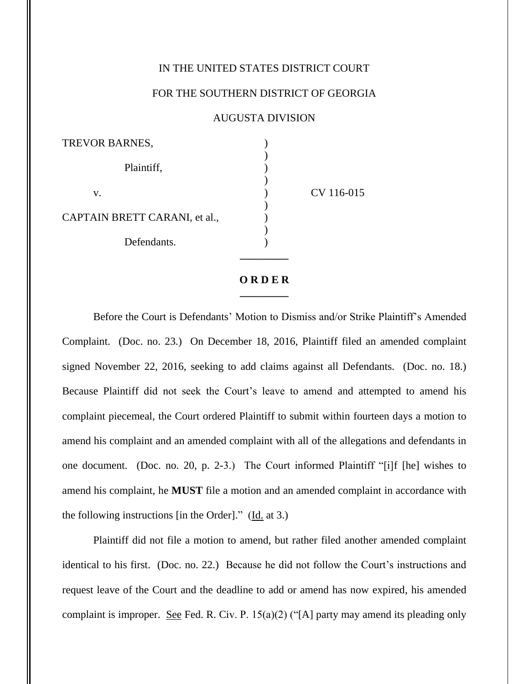## IN THE UNITED STATES DISTRICT COURT

## FOR THE SOUTHERN DISTRICT OF GEORGIA

## AUGUSTA DIVISION

CV 116-015

## **O R D E R \_\_\_\_\_\_\_\_\_**

Before the Court is Defendants' Motion to Dismiss and/or Strike Plaintiff's Amended Complaint. (Doc. no. 23.) On December 18, 2016, Plaintiff filed an amended complaint signed November 22, 2016, seeking to add claims against all Defendants. (Doc. no. 18.) Because Plaintiff did not seek the Court's leave to amend and attempted to amend his complaint piecemeal, the Court ordered Plaintiff to submit within fourteen days a motion to amend his complaint and an amended complaint with all of the allegations and defendants in one document. (Doc. no. 20, p. 2-3.) The Court informed Plaintiff "[i]f [he] wishes to amend his complaint, he **MUST** file a motion and an amended complaint in accordance with the following instructions [in the Order]." (Id. at 3.)

Plaintiff did not file a motion to amend, but rather filed another amended complaint identical to his first. (Doc. no. 22.) Because he did not follow the Court's instructions and request leave of the Court and the deadline to add or amend has now expired, his amended complaint is improper. See Fed. R. Civ. P. 15(a)(2) ("[A] party may amend its pleading only